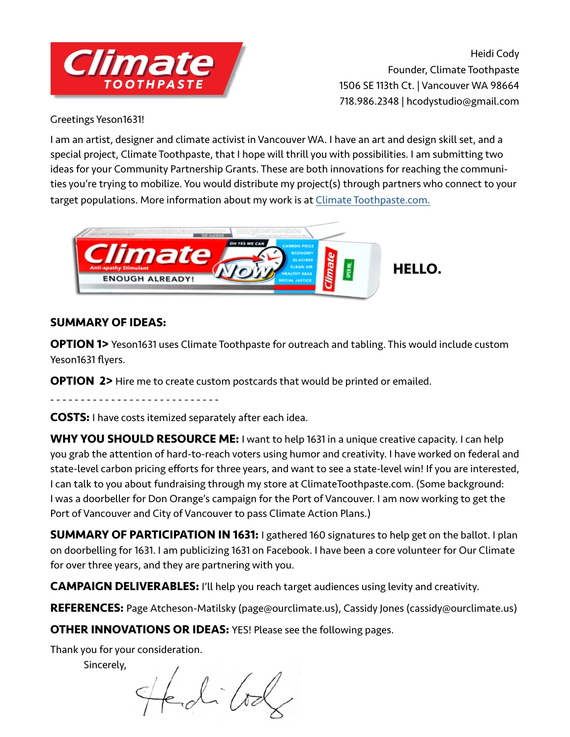

Heidi Cody Founder, Climate Toothpaste 1506 SE 113th Ct. | Vancouver WA 98664 718.986.2348 | hcodystudio@gmail.com

Greetings Yeson1631!

I am an artist, designer and climate activist in Vancouver WA. I have an art and design skill set, and a special project, Climate Toothpaste, that I hope will thrill you with possibilities. I am submitting two ideas for your Community Partnership Grants. These are both innovations for reaching the communities you're trying to mobilize. You would distribute my project(s) through partners who connect to your target populations. More information about my work is at Climate Toothpaste.com.



#### **SUMMARY OF IDEAS:**

**OPTION 1>** Yeson1631 uses Climate Toothpaste for outreach and tabling. This would include custom Yeson1631 flyers.

**OPTION 2>** Hire me to create custom postcards that would be printed or emailed.

- - - - - - - - - - - - - - - - - - - - - - - - - - - -

**COSTS:** I have costs itemized separately after each idea.

**WHY YOU SHOULD RESOURCE ME:** I want to help 1631 in a unique creative capacity. I can help you grab the attention of hard-to-reach voters using humor and creativity. I have worked on federal and state-level carbon pricing efforts for three years, and want to see a state-level win! If you are interested, I can talk to you about fundraising through my store at ClimateToothpaste.com. (Some background: I was a doorbeller for Don Orange's campaign for the Port of Vancouver. I am now working to get the Port of Vancouver and City of Vancouver to pass Climate Action Plans.)

**SUMMARY OF PARTICIPATION IN 1631:** I gathered 160 signatures to help get on the ballot. I plan on doorbelling for 1631. I am publicizing 1631 on Facebook. I have been a core volunteer for Our Climate for over three years, and they are partnering with you.

**CAMPAIGN DELIVERABLES:** I'll help you reach target audiences using levity and creativity.

**REFERENCES:** Page Atcheson-Matilsky (page@ourclimate.us), Cassidy Jones (cassidy@ourclimate.us)

**OTHER INNOVATIONS OR IDEAS:** YES! Please see the following pages.

Thank you for your consideration.

Sincerely,

ed (od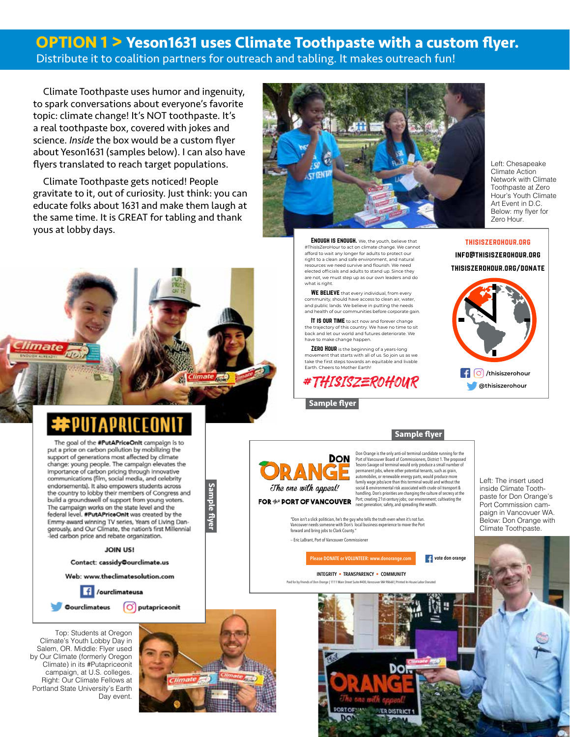### **OPTION 1 > Yeson1631 uses Climate Toothpaste with a custom flyer.** Distribute it to coalition partners for outreach and tabling. It makes outreach fun!

Climate Toothpaste uses humor and ingenuity, to spark conversations about everyone's favorite topic: climate change! It's NOT toothpaste. It's a real toothpaste box, covered with jokes and science. *Inside* the box would be a custom flyer about Yeson1631 (samples below). I can also have flyers translated to reach target populations.

Climate Toothpaste gets noticed! People gravitate to it, out of curiosity. Just think: you can educate folks about 1631 and make them laugh at the same time. It is GREAT for tabling and thank yous at lobby days.



**ENOUGH IS ENOUGH.** We, the youth, believe that #ThisIsZeroHour to act on climate change. We cannot afford to wait any longer for adults to protect our right to a clean and safe environment, and natural resources we need survive and flourish. We need elected officials and adults to stand up. Since they are not, we must step up as our own leaders and do what is right.

WE BELIEVE that every individual, from every well are the candidate that  $\sim$ community, should have access to clean air, water, **naturally as a strict 1.** and public lands. We believe in putting the needs and health of our communities before corporate gain.

IT IS OUR TIME to act now and forever change the trajectory of this country. We have no time to sit  $\begin{array}{c} \blacksquare \end{array}$ back and let our world and futures deteriorate. We have to make change happen. The control of the control of the control of the control of the control of the control of the control of the control of the control of the control of the control of the control of the control of

movement that starts with all of us. So join us as we<br>take the first steps towards an equitable and livable Farth. Cheers to Mother Earth! for careful concerns to Moderns."  $\overline{\text{ZERO}}$   $\overline{\text{HOUR}}$  is the beginning of a years-long

**#THISISZEROHOUR** 

**Please Download Sample flyer** 

AN

The one with appeal!

Left: Chesapeake Climate Action Network with Climate Toothpaste at Zero Hour's Youth Climate Art Event in D.C. Below: my flyer for Zero Hour.



mate

The goal of the #PutAPriceOnit campaign is to put a price on carbon pollution by mobilizing the support of generations most affected by climate change: young people. The campaign elevates the importance of carbon pricing through innovative communications (film, social media, and celebrity endorsements). It also empowers students across the country to lobby their members of Congress and build a groundswell of support from young voters. The campaign works on the state level and the federal level. #PutAPriceOnIt was created by the Emmy-award winning TV series, Years of Living Dangerously, and Our Climate, the nation's first Millennial led carbon price and rebate organization.

**JOIN US!** 

Contact: cassidy@ourclimate.us

Web: www.theclimatesolution.com

 $f$  /ourclimateusa

**Oourclimateus** 

Top: Students at Oregon Climate's Youth Lobby Day in Salem, OR. Middle: Flyer used by Our Climate (formerly Oregon Climate) in its #Putapriceonit campaign, at U.S. colleges. Right: Our Climate Fellows at Portland State University's Earth Day event.



 **Sample flyer**

Sample flyer

imate <sub>Now</sub>

 **Sample flyer DON** 

Don Orange is the only anti-oil terminal candidate running for the Port of Vancouver Board of Commissioners, District 1. The proposed Tesoro-Savage oil terminal would only produce a small number of permanent jobs, where other potential tenants, such as grain, automobiles, or renewable energy parts, would produce more family wage jobs/acre than this terminal would and without the social & environmental risk associated with crude oil transport & handling. Don's priorities are changing the culture of secrecy at the Port; creating 21st-century jobs; our environment; cultivating the next generation; safety, and spreading the wealth.

"Don isn't a slick politician, he's the guy who tells the truth even when it's not fun. Vancouver needs someone with Don's local business experience to move the Port forward and bring jobs to Clark County."

-- Eric LaBrant, Port of Vancouver Commissione

**Please DONATE or VOLUNTEER: www.donorange.com**  $\cdot$  **<b>4** vote don orange

**INTEGRITY • TRANSPARENCY • COMMUNITY**



Left: The insert used inside Climate Toothpaste for Don Orange's Port Commission campaign in Vancovuer WA. Below: Don Orange with Climate Toothpaste.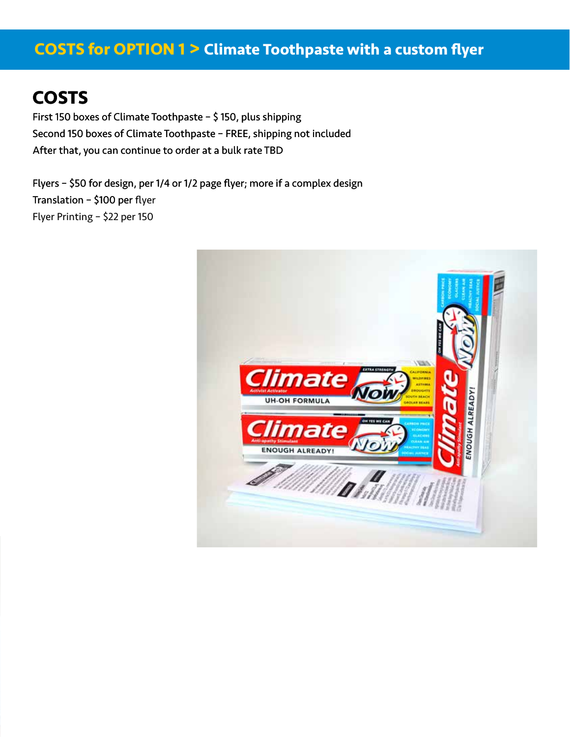## **COSTS for OPTION 1 > Climate Toothpaste with a custom flyer**

## **COSTS**

First 150 boxes of Climate Toothpaste – \$ 150, plus shipping Second 150 boxes of Climate Toothpaste – FREE, shipping not included After that, you can continue to order at a bulk rate TBD

Flyers – \$50 for design, per 1/4 or 1/2 page flyer; more if a complex design Translation – \$100 per flyer Translation – \$100 per Printing - \$22 per 150 Flyer Printing – \$22 per 150

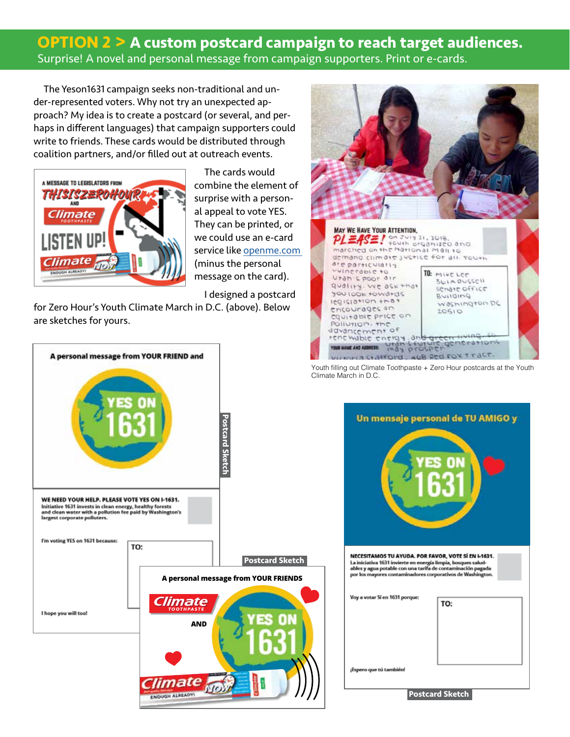### **OPTION 2 > A custom postcard campaign to reach target audiences.** Surprise! A novel and personal message from campaign supporters. Print or e-cards.

The Yeson1631 campaign seeks non-traditional and under-represented voters. Why not try an unexpected approach? My idea is to create a postcard (or several, and perhaps in different languages) that campaign supporters could write to friends. These cards would be distributed through coalition partners, and/or filled out at outreach events.



The cards would combine the element of surprise with a personal appeal to vote YES. They can be printed, or we could use an e-card service like openme.com (minus the personal message on the card).

I designed a postcard

for Zero Hour's Youth Climate March in D.C. (above). Below are sketches for yours.





Youth filling out Climate Toothpaste + Zero Hour postcards at the Youth Climate March in D.C.